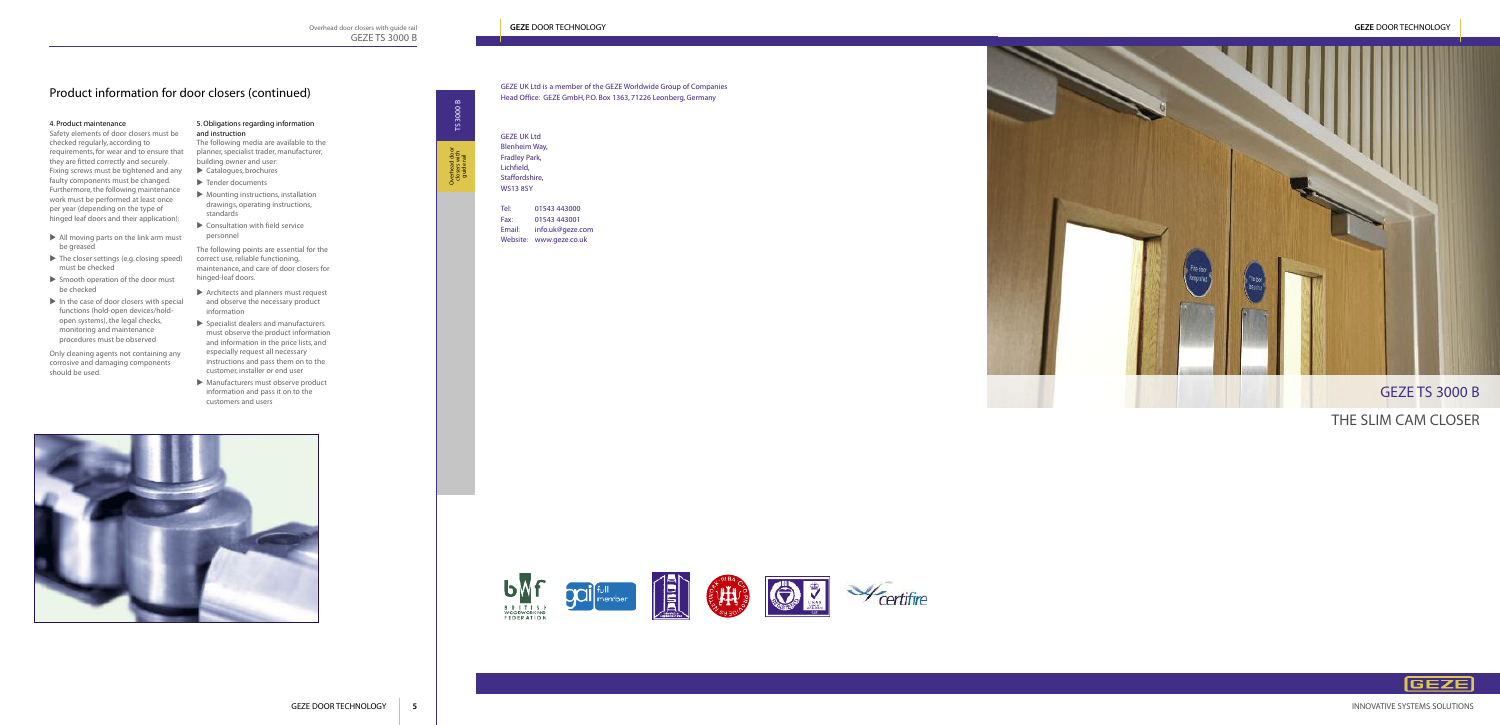# 4. Product maintenance

Safety elements of door closers must be checked regularly, according to requirements, for wear and to ensure that they are fitted correctly and securely. Fixing screws must be tightened and any faulty components must be changed. Furthermore, the following maintenance work must be performed at least once per year (depending on the type of hinged leaf doors and their application):

- $\blacktriangleright$  All moving parts on the link arm must be greased
- $\blacktriangleright$  The closer settings (e.g. closing speed) must be checked
- $\triangleright$  Smooth operation of the door must be checked
- $\blacktriangleright$  In the case of door closers with special functions (hold-open devices/holdopen systems), the legal checks, monitoring and maintenance procedures must be observed
- $\blacktriangleright$  Catalogues, brochures
- $\blacktriangleright$  Tender documents
- $\blacktriangleright$  Mounting instructions, installation drawings, operating instructions, standards
- $\blacktriangleright$  Consultation with field service personnel

Only cleaning agents not containing any corrosive and damaging components should be used.

- $\blacktriangleright$  Architects and planners must request and observe the necessary product information
- $\blacktriangleright$  Specialist dealers and manufacturers must observe the product information and information in the price lists, and especially request all necessary instructions and pass them on to the customer, installer or end user
- $\blacktriangleright$  Manufacturers must observe product information and pass it on to the customers and users



### 5.Obligations regarding information and instruction

The following media are available to the planner,specialist trader, manufacturer, building owner and user:

The following points are essential for the correct use, reliable functioning, maintenance, and care of door closers for hinged-leaf doors.

# Product information for door closers (continued)

THE SLIM CAM CLOSER







GEZE UK Ltd Blenheim Way, Fradley Park, Lichfield, Staffordshire, WS13 8SY

Tel: 01543 443000 Fax: 01543 443001 Email: info.uk@geze.com Website: www.geze.co.uk



# GEZE UK Ltd is a member of the GEZE Worldwide Group of Companies Head Office: GEZE GmbH, P.O. Box 1363, 71226 Leonberg, Germany

INNOVATIVE SYSTEMS SOLUTIONS



# GEZE DOOR TECHNOLOGY **5**